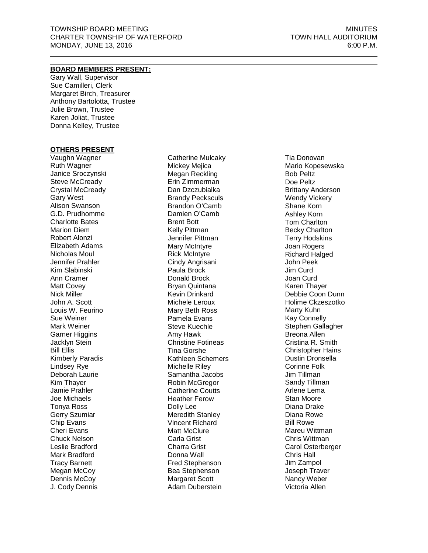## **BOARD MEMBERS PRESENT:**

Gary Wall, Supervisor Sue Camilleri, Clerk Margaret Birch, Treasurer Anthony Bartolotta, Trustee Julie Brown, Trustee Karen Joliat, Trustee Donna Kelley, Trustee

#### **OTHERS PRESENT**

Vaughn Wagner Ruth Wagner Janice Sroczynski Steve McCready Crystal McCready Gary West Alison Swanson G.D. Prudhomme Charlotte Bates Marion Diem Robert Alonzi Elizabeth Adams Nicholas Moul Jennifer Prahler Kim Slabinski Ann Cramer Matt Covey Nick Miller John A. Scott Louis W. Feurino Sue Weiner Mark Weiner Garner Higgins Jacklyn Stein Bill Ellis Kimberly Paradis Lindsey Rye Deborah Laurie Kim Thayer Jamie Prahler Joe Michaels Tonya Ross Gerry Szumiar Chip Evans Cheri Evans Chuck Nelson Leslie Bradford Mark Bradford Tracy Barnett Megan McCoy Dennis McCoy J. Cody Dennis

Catherine Mulcaky Mickey Mejica Megan Reckling Erin Zimmerman Dan Dzczubialka Brandy Pecksculs Brandon O'Camb Damien O'Camb Brent Bott Kelly Pittman Jennifer Pittman Mary McIntyre Rick McIntyre Cindy Angrisani Paula Brock Donald Brock Bryan Quintana Kevin Drinkard Michele Leroux Mary Beth Ross Pamela Evans Steve Kuechle Amy Hawk Christine Fotineas Tina Gorshe Kathleen Schemers Michelle Riley Samantha Jacobs Robin McGregor Catherine Coutts Heather Ferow Dolly Lee Meredith Stanley Vincent Richard Matt McClure Carla Grist Charra Grist Donna Wall Fred Stephenson Bea Stephenson Margaret Scott Adam Duberstein

Tia Donovan Mario Kopesewska Bob Peltz Doe Peltz Brittany Anderson Wendy Vickery Shane Korn Ashley Korn Tom Charlton Becky Charlton Terry Hodskins Joan Rogers Richard Halged John Peek Jim Curd Joan Curd Karen Thayer Debbie Coon Dunn Holime Ckzeszotko Marty Kuhn Kay Connelly Stephen Gallagher Breona Allen Cristina R. Smith Christopher Hains Dustin Dronsella Corinne Folk Jim Tillman Sandy Tillman Arlene Lema Stan Moore Diana Drake Diana Rowe Bill Rowe Mareu Wittman Chris Wittman Carol Osterberger Chris Hall Jim Zampol Joseph Traver Nancy Weber Victoria Allen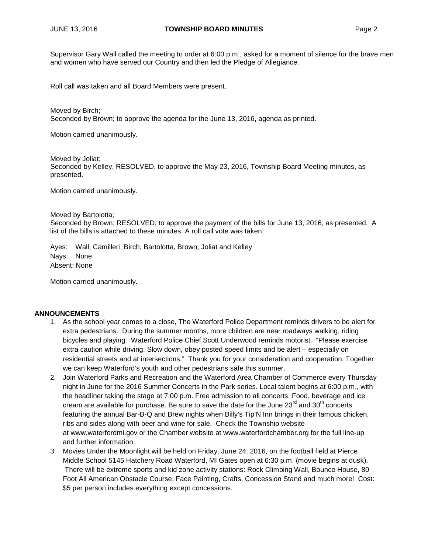Supervisor Gary Wall called the meeting to order at 6:00 p.m., asked for a moment of silence for the brave men and women who have served our Country and then led the Pledge of Allegiance.

Roll call was taken and all Board Members were present.

Moved by Birch; Seconded by Brown; to approve the agenda for the June 13, 2016, agenda as printed.

Motion carried unanimously.

Moved by Joliat; Seconded by Kelley, RESOLVED, to approve the May 23, 2016, Township Board Meeting minutes, as presented.

Motion carried unanimously.

#### Moved by Bartolotta;

Seconded by Brown; RESOLVED, to approve the payment of the bills for June 13, 2016, as presented. A list of the bills is attached to these minutes. A roll call vote was taken.

Ayes: Wall, Camilleri, Birch, Bartolotta, Brown, Joliat and Kelley Nays: None Absent: None

Motion carried unanimously.

#### **ANNOUNCEMENTS**

- 1. As the school year comes to a close, The Waterford Police Department reminds drivers to be alert for extra pedestrians. During the summer months, more children are near roadways walking, riding bicycles and playing. Waterford Police Chief Scott Underwood reminds motorist. "Please exercise extra caution while driving. Slow down, obey posted speed limits and be alert – especially on residential streets and at intersections." Thank you for your consideration and cooperation. Together we can keep Waterford's youth and other pedestrians safe this summer.
- 2. Join Waterford Parks and Recreation and the Waterford Area Chamber of Commerce every Thursday night in June for the 2016 Summer Concerts in the Park series. Local talent begins at 6:00 p.m., with the headliner taking the stage at 7:00 p.m. Free admission to all concerts. Food, beverage and ice cream are available for purchase. Be sure to save the date for the June  $23^{\text{rd}}$  and  $30^{\text{th}}$  concerts featuring the annual Bar-B-Q and Brew nights when Billy's Tip'N Inn brings in their famous chicken, ribs and sides along with beer and wine for sale. Check the Township website at [www.waterfordmi.gov](http://www.waterfordmi.gov/) or the Chamber website at [www.waterfordchamber.org](http://www.waterfordchamber.org/) for the full line-up and further information.
- 3. Movies Under the Moonlight will be held on Friday, June 24, 2016, on the football field at Pierce Middle School 5145 Hatchery Road Waterford, MI Gates open at 6:30 p.m. (movie begins at dusk). There will be extreme sports and kid zone activity stations: Rock Climbing Wall, Bounce House, 80 Foot All American Obstacle Course, Face Painting, Crafts, Concession Stand and much more! Cost: \$5 per person includes everything except concessions.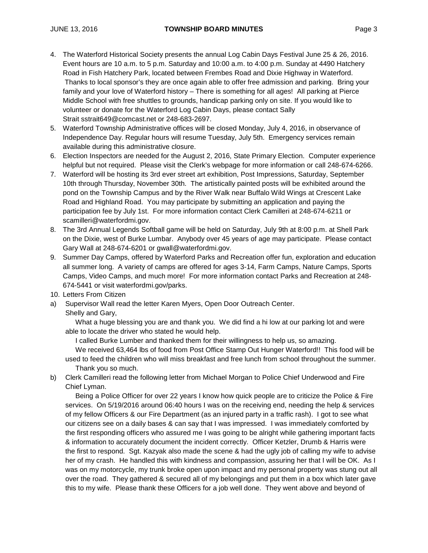- 4. The Waterford Historical Society presents the annual Log Cabin Days Festival June 25 & 26, 2016. Event hours are 10 a.m. to 5 p.m. Saturday and 10:00 a.m. to 4:00 p.m. Sunday at 4490 Hatchery Road in Fish Hatchery Park, located between Frembes Road and Dixie Highway in Waterford. Thanks to local sponsor's they are once again able to offer free admission and parking. Bring your family and your love of Waterford history – There is something for all ages! All parking at Pierce Middle School with free shuttles to grounds, handicap parking only on site. If you would like to volunteer or donate for the Waterford Log Cabin Days, please contact Sally Strait [sstrait649@comcast.net](mailto:sstrait649@comcast.net) or 248-683-2697.
- 5. Waterford Township Administrative offices will be closed Monday, July 4, 2016, in observance of Independence Day. Regular hours will resume Tuesday, July 5th. Emergency services remain available during this administrative closure.
- 6. Election Inspectors are needed for the August 2, 2016, State Primary Election. Computer experience helpful but not required. Please visit the Clerk's [webpage](http://waterfordmi.gov/159/Election-Information) for more information or call 248-674-6266.
- 7. Waterford will be hosting its 3rd ever street art exhibition, Post Impressions, Saturday, September 10th through Thursday, November 30th. The artistically painted posts will be exhibited around the pond on the Township Campus and by the River Walk near Buffalo Wild Wings at Crescent Lake Road and Highland Road. You may participate by submitting an application and paying the participation fee by July 1st. For more information contact Clerk Camilleri at 248-674-6211 or [scamilleri@waterfordmi.gov.](mailto:scamilleri@waterfordmi.gov)
- 8. The 3rd Annual Legends Softball game will be held on Saturday, July 9th at 8:00 p.m. at Shell Park on the Dixie, west of Burke Lumbar. Anybody over 45 years of age may participate. Please contact Gary Wall at 248-674-6201 or [gwall@waterfordmi.gov.](mailto:gwall@waterfordmi.gov)
- 9. Summer Day Camps, offered by Waterford Parks and Recreation offer fun, exploration and education all summer long. A variety of camps are offered for ages 3-14, Farm Camps, Nature Camps, Sports Camps, Video Camps, and much more! For more information contact Parks and Recreation at 248- 674-5441 or visit waterfordmi.gov/parks.
- 10. Letters From Citizen
- a) Supervisor Wall read the letter Karen Myers, Open Door Outreach Center. Shelly and Gary,

What a huge blessing you are and thank you. We did find a hi low at our parking lot and were able to locate the driver who stated he would help.

I called Burke Lumber and thanked them for their willingness to help us, so amazing.

We received 63,464 lbs of food from Post Office Stamp Out Hunger Waterford!! This food will be used to feed the children who will miss breakfast and free lunch from school throughout the summer. Thank you so much.

b) Clerk Camilleri read the following letter from Michael Morgan to Police Chief Underwood and Fire Chief Lyman.

Being a Police Officer for over 22 years I know how quick people are to criticize the Police & Fire services. On 5/19/2016 around 06:40 hours I was on the receiving end, needing the help & services of my fellow Officers & our Fire Department (as an injured party in a traffic rash). I got to see what our citizens see on a daily bases & can say that I was impressed. I was immediately comforted by the first responding officers who assured me I was going to be alright while gathering important facts & information to accurately document the incident correctly. Officer Ketzler, Drumb & Harris were the first to respond. Sgt. Kazyak also made the scene & had the ugly job of calling my wife to advise her of my crash. He handled this with kindness and compassion, assuring her that I will be OK. As I was on my motorcycle, my trunk broke open upon impact and my personal property was stung out all over the road. They gathered & secured all of my belongings and put them in a box which later gave this to my wife. Please thank these Officers for a job well done. They went above and beyond of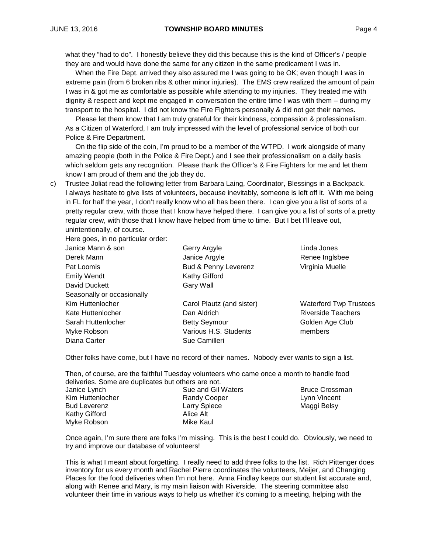what they "had to do". I honestly believe they did this because this is the kind of Officer's / people they are and would have done the same for any citizen in the same predicament I was in.

When the Fire Dept. arrived they also assured me I was going to be OK; even though I was in extreme pain (from 6 broken ribs & other minor injuries). The EMS crew realized the amount of pain I was in & got me as comfortable as possible while attending to my injuries. They treated me with dignity & respect and kept me engaged in conversation the entire time I was with them – during my transport to the hospital. I did not know the Fire Fighters personally & did not get their names.

Please let them know that I am truly grateful for their kindness, compassion & professionalism. As a Citizen of Waterford, I am truly impressed with the level of professional service of both our Police & Fire Department.

On the flip side of the coin, I'm proud to be a member of the WTPD. I work alongside of many amazing people (both in the Police & Fire Dept.) and I see their professionalism on a daily basis which seldom gets any recognition. Please thank the Officer's & Fire Fighters for me and let them know I am proud of them and the job they do.

c) Trustee Joliat read the following letter from Barbara Laing, Coordinator, Blessings in a Backpack. I always hesitate to give lists of volunteers, because inevitably, someone is left off it. With me being in FL for half the year, I don't really know who all has been there. I can give you a list of sorts of a pretty regular crew, with those that I know have helped there. I can give you a list of sorts of a pretty regular crew, with those that I know have helped from time to time. But I bet I'll leave out, unintentionally, of course.

Here goes, in no particular order:

| Janice Mann & son          | Gerry Argyle              | Linda Jones                   |
|----------------------------|---------------------------|-------------------------------|
| Derek Mann                 | Janice Argyle             | Renee Inglsbee                |
| Pat Loomis                 | Bud & Penny Leverenz      | Virginia Muelle               |
| <b>Emily Wendt</b>         | Kathy Gifford             |                               |
| David Duckett              | Gary Wall                 |                               |
| Seasonally or occasionally |                           |                               |
| Kim Huttenlocher           | Carol Plautz (and sister) | <b>Waterford Twp Trustees</b> |
| Kate Huttenlocher          | Dan Aldrich               | <b>Riverside Teachers</b>     |
| Sarah Huttenlocher         | <b>Betty Seymour</b>      | Golden Age Club               |
| Myke Robson                | Various H.S. Students     | members                       |
| Diana Carter               | Sue Camilleri             |                               |

Other folks have come, but I have no record of their names. Nobody ever wants to sign a list.

Then, of course, are the faithful Tuesday volunteers who came once a month to handle food deliveries. Some are duplicates but others are not.

| Janice Lynch        |  |
|---------------------|--|
| Kim Huttenlocher    |  |
| <b>Bud Leverenz</b> |  |
| Kathy Gifford       |  |
| Myke Robson         |  |

Sue and Gil Waters Randy Cooper Larry Spiece Alice Alt Mike Kaul

Bruce Crossman Lynn Vincent Maggi Belsy

Once again, I'm sure there are folks I'm missing. This is the best I could do. Obviously, we need to try and improve our database of volunteers!

This is what I meant about forgetting. I really need to add three folks to the list. Rich Pittenger does inventory for us every month and Rachel Pierre coordinates the volunteers, Meijer, and Changing Places for the food deliveries when I'm not here. Anna Findlay keeps our student list accurate and, along with Renee and Mary, is my main liaison with Riverside. The steering committee also volunteer their time in various ways to help us whether it's coming to a meeting, helping with the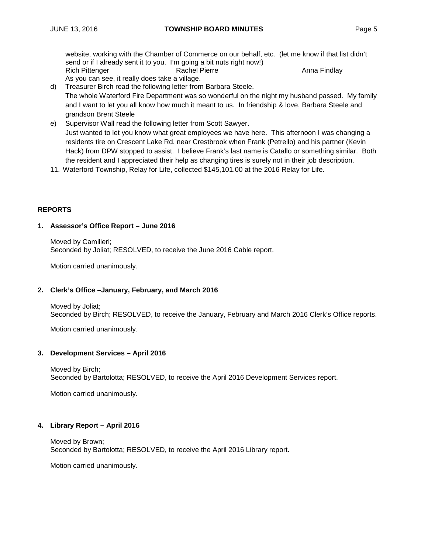website, working with the Chamber of Commerce on our behalf, etc. (let me know if that list didn't send or if I already sent it to you. I'm going a bit nuts right now!) Rich Pittenger **Rachel Pierre** Anna Findlay As you can see, it really does take a village.

- d) Treasurer Birch read the following letter from Barbara Steele. The whole Waterford Fire Department was so wonderful on the night my husband passed. My family and I want to let you all know how much it meant to us. In friendship & love, Barbara Steele and grandson Brent Steele
- e) Supervisor Wall read the following letter from Scott Sawyer. Just wanted to let you know what great employees we have here. This afternoon I was changing a residents tire on Crescent Lake Rd. near Crestbrook when Frank (Petrello) and his partner (Kevin Hack) from DPW stopped to assist. I believe Frank's last name is Catallo or something similar. Both the resident and I appreciated their help as changing tires is surely not in their job description.
- 11. Waterford Township, Relay for Life, collected \$145,101.00 at the 2016 Relay for Life.

## **REPORTS**

## **1. Assessor's Office Report – June 2016**

Moved by Camilleri; Seconded by Joliat; RESOLVED, to receive the June 2016 Cable report.

Motion carried unanimously.

#### **2. Clerk's Office –January, February, and March 2016**

Moved by Joliat; Seconded by Birch; RESOLVED, to receive the January, February and March 2016 Clerk's Office reports.

Motion carried unanimously.

## **3. Development Services – April 2016**

Moved by Birch; Seconded by Bartolotta; RESOLVED, to receive the April 2016 Development Services report.

Motion carried unanimously.

## **4. Library Report – April 2016**

Moved by Brown; Seconded by Bartolotta; RESOLVED, to receive the April 2016 Library report.

Motion carried unanimously.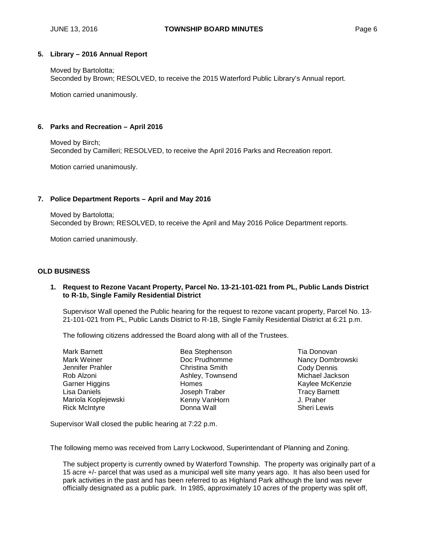#### **5. Library – 2016 Annual Report**

Moved by Bartolotta; Seconded by Brown; RESOLVED, to receive the 2015 Waterford Public Library's Annual report.

Motion carried unanimously.

#### **6. Parks and Recreation – April 2016**

Moved by Birch; Seconded by Camilleri; RESOLVED, to receive the April 2016 Parks and Recreation report.

Motion carried unanimously.

#### **7. Police Department Reports – April and May 2016**

Moved by Bartolotta; Seconded by Brown; RESOLVED, to receive the April and May 2016 Police Department reports.

Motion carried unanimously.

#### **OLD BUSINESS**

## **1. Request to Rezone Vacant Property, Parcel No. 13-21-101-021 from PL, Public Lands District to R-1b, Single Family Residential District**

Supervisor Wall opened the Public hearing for the request to rezone vacant property, Parcel No. 13- 21-101-021 from PL, Public Lands District to R-1B, Single Family Residential District at 6:21 p.m.

The following citizens addressed the Board along with all of the Trustees.

| Bea Stephenson   |
|------------------|
| Doc Prudhomme    |
| Christina Smith  |
| Ashley, Townsend |
| Homes            |
| Joseph Traber    |
| Kenny VanHorn    |
| Donna Wall       |
|                  |

Tia Donovan Nancy Dombrowski Cody Dennis Michael Jackson Kaylee McKenzie Tracy Barnett J. Praher Sheri Lewis

Supervisor Wall closed the public hearing at 7:22 p.m.

The following memo was received from Larry Lockwood, Superintendant of Planning and Zoning.

The subject property is currently owned by Waterford Township. The property was originally part of a 15 acre +/- parcel that was used as a municipal well site many years ago. It has also been used for park activities in the past and has been referred to as Highland Park although the land was never officially designated as a public park. In 1985, approximately 10 acres of the property was split off,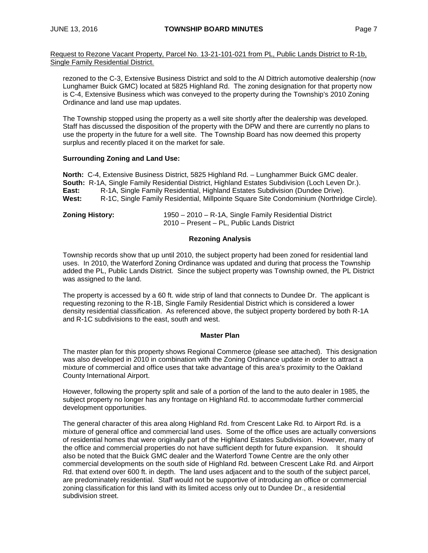Request to Rezone Vacant Property, Parcel No. 13-21-101-021 from PL, Public Lands District to R-1b, Single Family Residential District.

rezoned to the C-3, Extensive Business District and sold to the Al Dittrich automotive dealership (now Lunghamer Buick GMC) located at 5825 Highland Rd. The zoning designation for that property now is C-4, Extensive Business which was conveyed to the property during the Township's 2010 Zoning Ordinance and land use map updates.

The Township stopped using the property as a well site shortly after the dealership was developed. Staff has discussed the disposition of the property with the DPW and there are currently no plans to use the property in the future for a well site. The Township Board has now deemed this property surplus and recently placed it on the market for sale.

#### **Surrounding Zoning and Land Use:**

**North:** C-4, Extensive Business District, 5825 Highland Rd. – Lunghammer Buick GMC dealer. **South:** R-1A, Single Family Residential District, Highland Estates Subdivision (Loch Leven Dr.). **East:** R-1A, Single Family Residential, Highland Estates Subdivision (Dundee Drive). **West:** R-1C, Single Family Residential, Millpointe Square Site Condominium (Northridge Circle).

| <b>Zoning History:</b> | 1950 - 2010 - R-1A, Single Family Residential District |
|------------------------|--------------------------------------------------------|
|                        | 2010 – Present – PL, Public Lands District             |

## **Rezoning Analysis**

Township records show that up until 2010, the subject property had been zoned for residential land uses. In 2010, the Waterford Zoning Ordinance was updated and during that process the Township added the PL, Public Lands District. Since the subject property was Township owned, the PL District was assigned to the land.

The property is accessed by a 60 ft. wide strip of land that connects to Dundee Dr. The applicant is requesting rezoning to the R-1B, Single Family Residential District which is considered a lower density residential classification. As referenced above, the subject property bordered by both R-1A and R-1C subdivisions to the east, south and west.

#### **Master Plan**

The master plan for this property shows Regional Commerce (please see attached). This designation was also developed in 2010 in combination with the Zoning Ordinance update in order to attract a mixture of commercial and office uses that take advantage of this area's proximity to the Oakland County International Airport.

However, following the property split and sale of a portion of the land to the auto dealer in 1985, the subject property no longer has any frontage on Highland Rd. to accommodate further commercial development opportunities.

The general character of this area along Highland Rd. from Crescent Lake Rd. to Airport Rd. is a mixture of general office and commercial land uses. Some of the office uses are actually conversions of residential homes that were originally part of the Highland Estates Subdivision. However, many of the office and commercial properties do not have sufficient depth for future expansion. It should also be noted that the Buick GMC dealer and the Waterford Towne Centre are the only other commercial developments on the south side of Highland Rd. between Crescent Lake Rd. and Airport Rd. that extend over 600 ft. in depth. The land uses adjacent and to the south of the subject parcel, are predominately residential. Staff would not be supportive of introducing an office or commercial zoning classification for this land with its limited access only out to Dundee Dr., a residential subdivision street.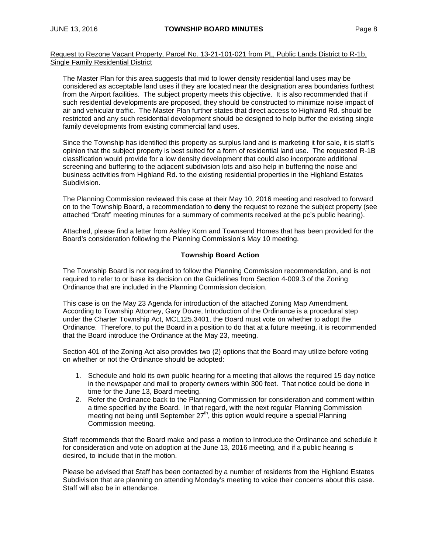Request to Rezone Vacant Property, Parcel No. 13-21-101-021 from PL, Public Lands District to R-1b, Single Family Residential District

The Master Plan for this area suggests that mid to lower density residential land uses may be considered as acceptable land uses if they are located near the designation area boundaries furthest from the Airport facilities. The subject property meets this objective. It is also recommended that if such residential developments are proposed, they should be constructed to minimize noise impact of air and vehicular traffic. The Master Plan further states that direct access to Highland Rd. should be restricted and any such residential development should be designed to help buffer the existing single family developments from existing commercial land uses.

Since the Township has identified this property as surplus land and is marketing it for sale, it is staff's opinion that the subject property is best suited for a form of residential land use. The requested R-1B classification would provide for a low density development that could also incorporate additional screening and buffering to the adjacent subdivision lots and also help in buffering the noise and business activities from Highland Rd. to the existing residential properties in the Highland Estates Subdivision.

The Planning Commission reviewed this case at their May 10, 2016 meeting and resolved to forward on to the Township Board, a recommendation to **deny** the request to rezone the subject property (see attached "Draft" meeting minutes for a summary of comments received at the pc's public hearing).

Attached, please find a letter from Ashley Korn and Townsend Homes that has been provided for the Board's consideration following the Planning Commission's May 10 meeting.

## **Township Board Action**

The Township Board is not required to follow the Planning Commission recommendation, and is not required to refer to or base its decision on the Guidelines from Section 4-009.3 of the Zoning Ordinance that are included in the Planning Commission decision.

This case is on the May 23 Agenda for introduction of the attached Zoning Map Amendment. According to Township Attorney, Gary Dovre, Introduction of the Ordinance is a procedural step under the Charter Township Act, MCL125.3401, the Board must vote on whether to adopt the Ordinance. Therefore, to put the Board in a position to do that at a future meeting, it is recommended that the Board introduce the Ordinance at the May 23, meeting.

Section 401 of the Zoning Act also provides two (2) options that the Board may utilize before voting on whether or not the Ordinance should be adopted:

- 1. Schedule and hold its own public hearing for a meeting that allows the required 15 day notice in the newspaper and mail to property owners within 300 feet. That notice could be done in time for the June 13, Board meeting.
- 2. Refer the Ordinance back to the Planning Commission for consideration and comment within a time specified by the Board. In that regard, with the next regular Planning Commission meeting not being until September  $27<sup>th</sup>$ , this option would require a special Planning Commission meeting.

Staff recommends that the Board make and pass a motion to Introduce the Ordinance and schedule it for consideration and vote on adoption at the June 13, 2016 meeting, and if a public hearing is desired, to include that in the motion.

Please be advised that Staff has been contacted by a number of residents from the Highland Estates Subdivision that are planning on attending Monday's meeting to voice their concerns about this case. Staff will also be in attendance.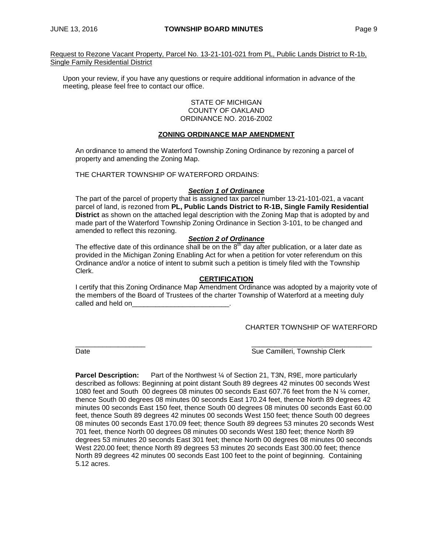Request to Rezone Vacant Property, Parcel No. 13-21-101-021 from PL, Public Lands District to R-1b, Single Family Residential District

Upon your review, if you have any questions or require additional information in advance of the meeting, please feel free to contact our office.

#### STATE OF MICHIGAN COUNTY OF OAKLAND ORDINANCE NO. 2016-Z002

## **ZONING ORDINANCE MAP AMENDMENT**

An ordinance to amend the Waterford Township Zoning Ordinance by rezoning a parcel of property and amending the Zoning Map.

THE CHARTER TOWNSHIP OF WATERFORD ORDAINS:

#### *Section 1 of Ordinance*

The part of the parcel of property that is assigned tax parcel number 13-21-101-021, a vacant parcel of land, is rezoned from **PL, Public Lands District to R-1B, Single Family Residential District** as shown on the attached legal description with the Zoning Map that is adopted by and made part of the Waterford Township Zoning Ordinance in Section 3-101, to be changed and amended to reflect this rezoning.

#### *Section 2 of Ordinance*

The effective date of this ordinance shall be on the  $8<sup>th</sup>$  day after publication, or a later date as provided in the Michigan Zoning Enabling Act for when a petition for voter referendum on this Ordinance and/or a notice of intent to submit such a petition is timely filed with the Township Clerk.

#### **CERTIFICATION**

I certify that this Zoning Ordinance Map Amendment Ordinance was adopted by a majority vote of the members of the Board of Trustees of the charter Township of Waterford at a meeting duly called and held on

CHARTER TOWNSHIP OF WATERFORD

\_\_\_\_\_\_\_\_\_\_\_\_\_\_\_\_\_\_ \_\_\_\_\_\_\_\_\_\_\_\_\_\_\_\_\_\_\_\_\_\_\_\_\_\_\_\_\_\_\_ Date **Sue Camilleri, Township Clerk** Sue Camilleri, Township Clerk

**Parcel Description:** Part of the Northwest ¼ of Section 21, T3N, R9E, more particularly described as follows: Beginning at point distant South 89 degrees 42 minutes 00 seconds West 1080 feet and South 00 degrees 08 minutes 00 seconds East 607.76 feet from the N ¼ corner, thence South 00 degrees 08 minutes 00 seconds East 170.24 feet, thence North 89 degrees 42 minutes 00 seconds East 150 feet, thence South 00 degrees 08 minutes 00 seconds East 60.00 feet, thence South 89 degrees 42 minutes 00 seconds West 150 feet; thence South 00 degrees 08 minutes 00 seconds East 170.09 feet; thence South 89 degrees 53 minutes 20 seconds West 701 feet, thence North 00 degrees 08 minutes 00 seconds West 180 feet; thence North 89 degrees 53 minutes 20 seconds East 301 feet; thence North 00 degrees 08 minutes 00 seconds West 220.00 feet; thence North 89 degrees 53 minutes 20 seconds East 300.00 feet; thence North 89 degrees 42 minutes 00 seconds East 100 feet to the point of beginning. Containing 5.12 acres.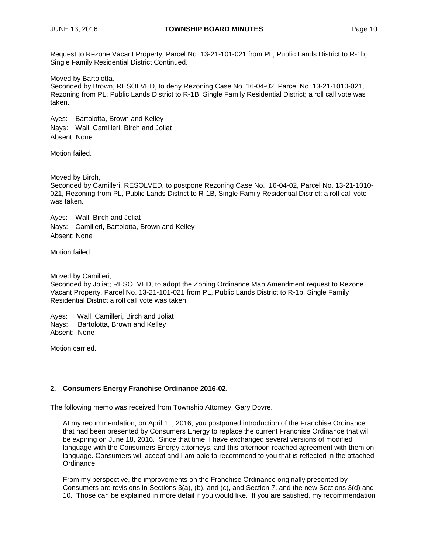Request to Rezone Vacant Property, Parcel No. 13-21-101-021 from PL, Public Lands District to R-1b, Single Family Residential District Continued.

Moved by Bartolotta,

Seconded by Brown, RESOLVED, to deny Rezoning Case No. 16-04-02, Parcel No. 13-21-1010-021, Rezoning from PL, Public Lands District to R-1B, Single Family Residential District; a roll call vote was taken.

Ayes: Bartolotta, Brown and Kelley Nays: Wall, Camilleri, Birch and Joliat Absent: None

Motion failed.

Moved by Birch,

Seconded by Camilleri, RESOLVED, to postpone Rezoning Case No. 16-04-02, Parcel No. 13-21-1010- 021, Rezoning from PL, Public Lands District to R-1B, Single Family Residential District; a roll call vote was taken.

Ayes: Wall, Birch and Joliat Nays: Camilleri, Bartolotta, Brown and Kelley Absent: None

Motion failed.

Moved by Camilleri;

Seconded by Joliat; RESOLVED, to adopt the Zoning Ordinance Map Amendment request to Rezone Vacant Property, Parcel No. 13-21-101-021 from PL, Public Lands District to R-1b, Single Family Residential District a roll call vote was taken.

Ayes: Wall, Camilleri, Birch and Joliat Nays: Bartolotta, Brown and Kelley Absent: None

Motion carried.

## **2. Consumers Energy Franchise Ordinance 2016-02.**

The following memo was received from Township Attorney, Gary Dovre.

At my recommendation, on April 11, 2016, you postponed introduction of the Franchise Ordinance that had been presented by Consumers Energy to replace the current Franchise Ordinance that will be expiring on June 18, 2016. Since that time, I have exchanged several versions of modified language with the Consumers Energy attorneys, and this afternoon reached agreement with them on language. Consumers will accept and I am able to recommend to you that is reflected in the attached Ordinance.

From my perspective, the improvements on the Franchise Ordinance originally presented by Consumers are revisions in Sections 3(a), (b), and (c), and Section 7, and the new Sections 3(d) and 10. Those can be explained in more detail if you would like. If you are satisfied, my recommendation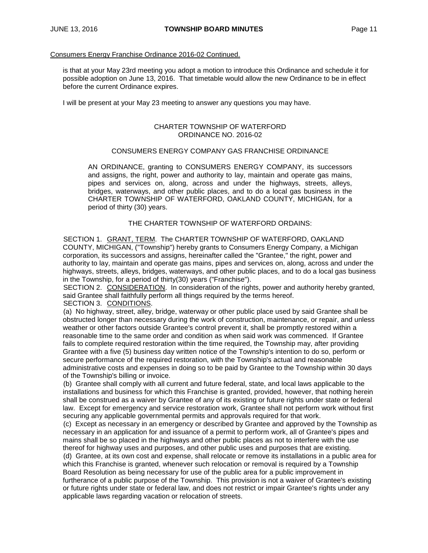#### Consumers Energy Franchise Ordinance 2016-02 Continued.

is that at your May 23rd meeting you adopt a motion to introduce this Ordinance and schedule it for possible adoption on June 13, 2016. That timetable would allow the new Ordinance to be in effect before the current Ordinance expires.

I will be present at your May 23 meeting to answer any questions you may have.

#### CHARTER TOWNSHIP OF WATERFORD ORDINANCE NO. 2016-02

## CONSUMERS ENERGY COMPANY GAS FRANCHISE ORDINANCE

AN ORDINANCE, granting to CONSUMERS ENERGY COMPANY, its successors and assigns, the right, power and authority to lay, maintain and operate gas mains, pipes and services on, along, across and under the highways, streets, alleys, bridges, waterways, and other public places, and to do a local gas business in the CHARTER TOWNSHIP OF WATERFORD, OAKLAND COUNTY, MICHIGAN, for a period of thirty (30) years.

THE CHARTER TOWNSHIP OF WATERFORD ORDAINS:

SECTION 1. GRANT, TERM. The CHARTER TOWNSHIP OF WATERFORD, OAKLAND COUNTY, MICHIGAN, ("Township") hereby grants to Consumers Energy Company, a Michigan corporation, its successors and assigns, hereinafter called the "Grantee," the right, power and authority to lay, maintain and operate gas mains, pipes and services on, along, across and under the highways, streets, alleys, bridges, waterways, and other public places, and to do a local gas business in the Township, for a period of thirty(30) years ("Franchise").

SECTION 2. CONSIDERATION. In consideration of the rights, power and authority hereby granted, said Grantee shall faithfully perform all things required by the terms hereof. SECTION 3. CONDITIONS.

(a) No highway, street, alley, bridge, waterway or other public place used by said Grantee shall be obstructed longer than necessary during the work of construction, maintenance, or repair, and unless weather or other factors outside Grantee's control prevent it, shall be promptly restored within a reasonable time to the same order and condition as when said work was commenced. If Grantee fails to complete required restoration within the time required, the Township may, after providing Grantee with a five (5) business day written notice of the Township's intention to do so, perform or secure performance of the required restoration, with the Township's actual and reasonable administrative costs and expenses in doing so to be paid by Grantee to the Township within 30 days of the Township's billing or invoice.

(b) Grantee shall comply with all current and future federal, state, and local laws applicable to the installations and business for which this Franchise is granted, provided, however, that nothing herein shall be construed as a waiver by Grantee of any of its existing or future rights under state or federal law. Except for emergency and service restoration work, Grantee shall not perform work without first securing any applicable governmental permits and approvals required for that work.

(c) Except as necessary in an emergency or described by Grantee and approved by the Township as necessary in an application for and issuance of a permit to perform work, all of Grantee's pipes and mains shall be so placed in the highways and other public places as not to interfere with the use thereof for highway uses and purposes, and other public uses and purposes that are existing. (d) Grantee, at its own cost and expense, shall relocate or remove its installations in a public area for

which this Franchise is granted, whenever such relocation or removal is required by a Township Board Resolution as being necessary for use of the public area for a public improvement in furtherance of a public purpose of the Township. This provision is not a waiver of Grantee's existing or future rights under state or federal law, and does not restrict or impair Grantee's rights under any applicable laws regarding vacation or relocation of streets.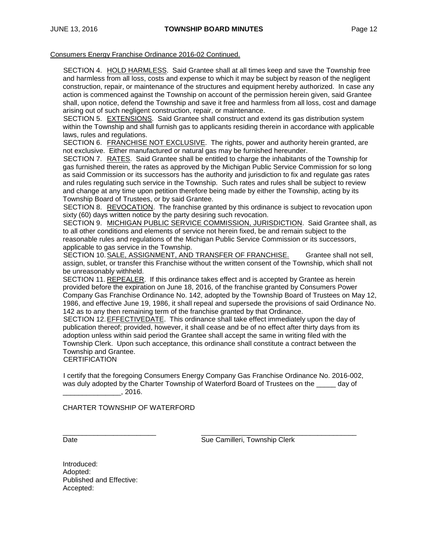#### Consumers Energy Franchise Ordinance 2016-02 Continued.

SECTION 4. HOLD HARMLESS. Said Grantee shall at all times keep and save the Township free and harmless from all loss, costs and expense to which it may be subject by reason of the negligent construction, repair, or maintenance of the structures and equipment hereby authorized. In case any action is commenced against the Township on account of the permission herein given, said Grantee shall, upon notice, defend the Township and save it free and harmless from all loss, cost and damage arising out of such negligent construction, repair, or maintenance.

SECTION 5. EXTENSIONS. Said Grantee shall construct and extend its gas distribution system within the Township and shall furnish gas to applicants residing therein in accordance with applicable laws, rules and regulations.

SECTION 6. FRANCHISE NOT EXCLUSIVE. The rights, power and authority herein granted, are not exclusive. Either manufactured or natural gas may be furnished hereunder.

SECTION 7. RATES. Said Grantee shall be entitled to charge the inhabitants of the Township for gas furnished therein, the rates as approved by the Michigan Public Service Commission for so long as said Commission or its successors has the authority and jurisdiction to fix and regulate gas rates and rules regulating such service in the Township. Such rates and rules shall be subject to review and change at any time upon petition therefore being made by either the Township, acting by its Township Board of Trustees, or by said Grantee.

SECTION 8. REVOCATION. The franchise granted by this ordinance is subject to revocation upon sixty (60) days written notice by the party desiring such revocation.

SECTION 9. MICHIGAN PUBLIC SERVICE COMMISSION, JURISDICTION. Said Grantee shall, as to all other conditions and elements of service not herein fixed, be and remain subject to the reasonable rules and regulations of the Michigan Public Service Commission or its successors, applicable to gas service in the Township.

SECTION 10.SALE, ASSIGNMENT, AND TRANSFER OF FRANCHISE. Grantee shall not sell, assign, sublet, or transfer this Franchise without the written consent of the Township, which shall not be unreasonably withheld.

SECTION 11. REPEALER. If this ordinance takes effect and is accepted by Grantee as herein provided before the expiration on June 18, 2016, of the franchise granted by Consumers Power Company Gas Franchise Ordinance No. 142, adopted by the Township Board of Trustees on May 12, 1986, and effective June 19, 1986, it shall repeal and supersede the provisions of said Ordinance No. 142 as to any then remaining term of the franchise granted by that Ordinance.

SECTION 12.EFFECTIVEDATE. This ordinance shall take effect immediately upon the day of publication thereof; provided, however, it shall cease and be of no effect after thirty days from its adoption unless within said period the Grantee shall accept the same in writing filed with the Township Clerk. Upon such acceptance, this ordinance shall constitute a contract between the Township and Grantee.

**CERTIFICATION** 

I certify that the foregoing Consumers Energy Company Gas Franchise Ordinance No. 2016-002, was duly adopted by the Charter Township of Waterford Board of Trustees on the \_\_\_\_\_ day of  $\frac{1}{2016}$ .

CHARTER TOWNSHIP OF WATERFORD

\_\_\_\_\_\_\_\_\_\_\_\_\_\_\_\_\_\_\_\_\_\_\_\_ \_\_\_\_\_\_\_\_\_\_\_\_\_\_\_\_\_\_\_\_\_\_\_\_\_\_\_\_\_\_\_\_\_\_\_\_\_\_\_\_ Date **Sue Camilleri, Township Clerk** Sue Camilleri, Township Clerk

Introduced: Adopted: Published and Effective: Accepted: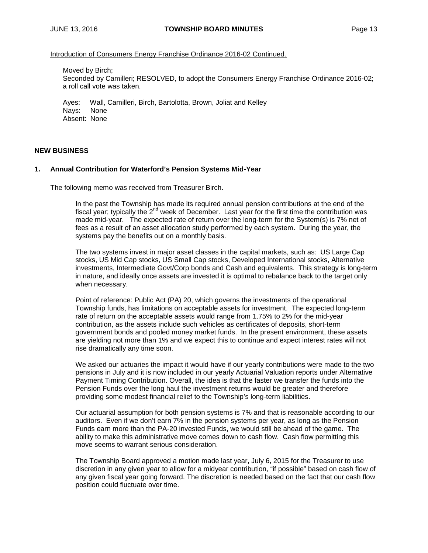Introduction of Consumers Energy Franchise Ordinance 2016-02 Continued.

Moved by Birch; Seconded by Camilleri; RESOLVED, to adopt the Consumers Energy Franchise Ordinance 2016-02; a roll call vote was taken.

Ayes: Wall, Camilleri, Birch, Bartolotta, Brown, Joliat and Kelley Nays: None Absent: None

#### **NEW BUSINESS**

#### **1. Annual Contribution for Waterford's Pension Systems Mid-Year**

The following memo was received from Treasurer Birch.

In the past the Township has made its required annual pension contributions at the end of the fiscal year; typically the 2<sup>nd</sup> week of December. Last year for the first time the contribution was made mid-year. The expected rate of return over the long-term for the System(s) is 7% net of fees as a result of an asset allocation study performed by each system. During the year, the systems pay the benefits out on a monthly basis.

The two systems invest in major asset classes in the capital markets, such as: US Large Cap stocks, US Mid Cap stocks, US Small Cap stocks, Developed International stocks, Alternative investments, Intermediate Govt/Corp bonds and Cash and equivalents. This strategy is long-term in nature, and ideally once assets are invested it is optimal to rebalance back to the target only when necessary.

Point of reference: Public Act (PA) 20, which governs the investments of the operational Township funds, has limitations on acceptable assets for investment. The expected long-term rate of return on the acceptable assets would range from 1.75% to 2% for the mid-year contribution, as the assets include such vehicles as certificates of deposits, short-term government bonds and pooled money market funds. In the present environment, these assets are yielding not more than 1% and we expect this to continue and expect interest rates will not rise dramatically any time soon.

We asked our actuaries the impact it would have if our yearly contributions were made to the two pensions in July and it is now included in our yearly Actuarial Valuation reports under Alternative Payment Timing Contribution. Overall, the idea is that the faster we transfer the funds into the Pension Funds over the long haul the investment returns would be greater and therefore providing some modest financial relief to the Township's long-term liabilities.

Our actuarial assumption for both pension systems is 7% and that is reasonable according to our auditors. Even if we don't earn 7% in the pension systems per year, as long as the Pension Funds earn more than the PA-20 invested Funds, we would still be ahead of the game. The ability to make this administrative move comes down to cash flow. Cash flow permitting this move seems to warrant serious consideration.

The Township Board approved a motion made last year, July 6, 2015 for the Treasurer to use discretion in any given year to allow for a midyear contribution, "if possible" based on cash flow of any given fiscal year going forward. The discretion is needed based on the fact that our cash flow position could fluctuate over time.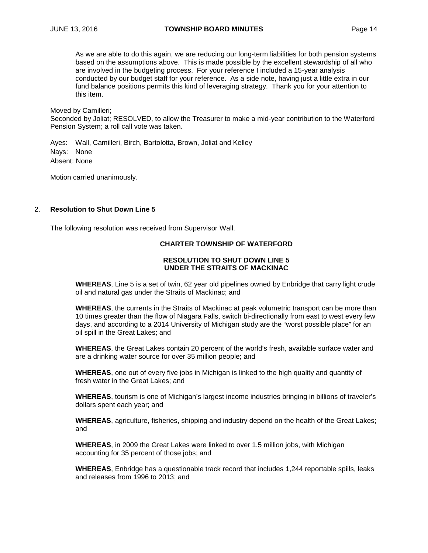As we are able to do this again, we are reducing our long-term liabilities for both pension systems based on the assumptions above. This is made possible by the excellent stewardship of all who are involved in the budgeting process. For your reference I included a 15-year analysis conducted by our budget staff for your reference. As a side note, having just a little extra in our fund balance positions permits this kind of leveraging strategy. Thank you for your attention to this item.

Moved by Camilleri;

Seconded by Joliat; RESOLVED, to allow the Treasurer to make a mid-year contribution to the Waterford Pension System; a roll call vote was taken.

Ayes: Wall, Camilleri, Birch, Bartolotta, Brown, Joliat and Kelley Nays: None Absent: None

Motion carried unanimously.

## 2. **Resolution to Shut Down Line 5**

The following resolution was received from Supervisor Wall.

#### **CHARTER TOWNSHIP OF WATERFORD**

## **RESOLUTION TO SHUT DOWN LINE 5 UNDER THE STRAITS OF MACKINAC**

**WHEREAS**, Line 5 is a set of twin, 62 year old pipelines owned by Enbridge that carry light crude oil and natural gas under the Straits of Mackinac; and

**WHEREAS**, the currents in the Straits of Mackinac at peak volumetric transport can be more than 10 times greater than the flow of Niagara Falls, switch bi-directionally from east to west every few days, and according to a 2014 University of Michigan study are the "worst possible place" for an oil spill in the Great Lakes; and

**WHEREAS**, the Great Lakes contain 20 percent of the world's fresh, available surface water and are a drinking water source for over 35 million people; and

**WHEREAS**, one out of every five jobs in Michigan is linked to the high quality and quantity of fresh water in the Great Lakes; and

**WHEREAS**, tourism is one of Michigan's largest income industries bringing in billions of traveler's dollars spent each year; and

**WHEREAS**, agriculture, fisheries, shipping and industry depend on the health of the Great Lakes; and

**WHEREAS**, in 2009 the Great Lakes were linked to over 1.5 million jobs, with Michigan accounting for 35 percent of those jobs; and

**WHEREAS**, Enbridge has a questionable track record that includes 1,244 reportable spills, leaks and releases from 1996 to 2013; and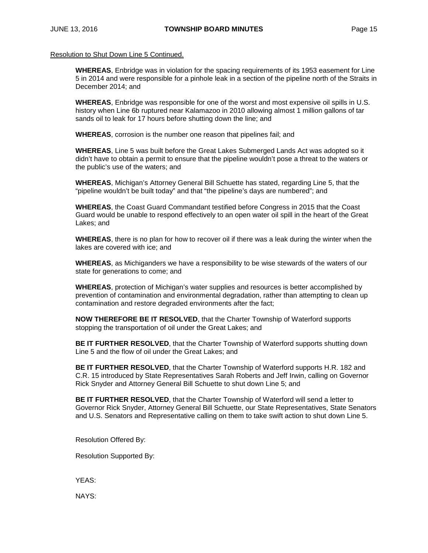Resolution to Shut Down Line 5 Continued.

**WHEREAS**, Enbridge was in violation for the spacing requirements of its 1953 easement for Line 5 in 2014 and were responsible for a pinhole leak in a section of the pipeline north of the Straits in December 2014; and

**WHEREAS**, Enbridge was responsible for one of the worst and most expensive oil spills in U.S. history when Line 6b ruptured near Kalamazoo in 2010 allowing almost 1 million gallons of tar sands oil to leak for 17 hours before shutting down the line; and

**WHEREAS**, corrosion is the number one reason that pipelines fail; and

**WHEREAS**, Line 5 was built before the Great Lakes Submerged Lands Act was adopted so it didn't have to obtain a permit to ensure that the pipeline wouldn't pose a threat to the waters or the public's use of the waters; and

**WHEREAS**, Michigan's Attorney General Bill Schuette has stated, regarding Line 5, that the "pipeline wouldn't be built today" and that "the pipeline's days are numbered"; and

**WHEREAS**, the Coast Guard Commandant testified before Congress in 2015 that the Coast Guard would be unable to respond effectively to an open water oil spill in the heart of the Great Lakes; and

**WHEREAS**, there is no plan for how to recover oil if there was a leak during the winter when the lakes are covered with ice; and

**WHEREAS**, as Michiganders we have a responsibility to be wise stewards of the waters of our state for generations to come; and

**WHEREAS**, protection of Michigan's water supplies and resources is better accomplished by prevention of contamination and environmental degradation, rather than attempting to clean up contamination and restore degraded environments after the fact;

**NOW THEREFORE BE IT RESOLVED**, that the Charter Township of Waterford supports stopping the transportation of oil under the Great Lakes; and

**BE IT FURTHER RESOLVED**, that the Charter Township of Waterford supports shutting down Line 5 and the flow of oil under the Great Lakes; and

**BE IT FURTHER RESOLVED**, that the Charter Township of Waterford supports H.R. 182 and C.R. 15 introduced by State Representatives Sarah Roberts and Jeff Irwin, calling on Governor Rick Snyder and Attorney General Bill Schuette to shut down Line 5; and

**BE IT FURTHER RESOLVED**, that the Charter Township of Waterford will send a letter to Governor Rick Snyder, Attorney General Bill Schuette, our State Representatives, State Senators and U.S. Senators and Representative calling on them to take swift action to shut down Line 5.

Resolution Offered By:

Resolution Supported By:

YEAS:

NAYS: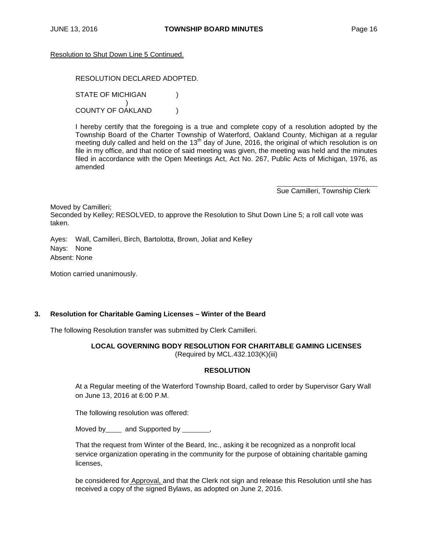#### Resolution to Shut Down Line 5 Continued.

## RESOLUTION DECLARED ADOPTED. STATE OF MICHIGAN (1) ) COUNTY OF OAKLAND )

I hereby certify that the foregoing is a true and complete copy of a resolution adopted by the Township Board of the Charter Township of Waterford, Oakland County, Michigan at a regular meeting duly called and held on the  $13<sup>th</sup>$  day of June, 2016, the original of which resolution is on file in my office, and that notice of said meeting was given, the meeting was held and the minutes filed in accordance with the Open Meetings Act, Act No. 267, Public Acts of Michigan, 1976, as amended

Sue Camilleri, Township Clerk

Moved by Camilleri;

Seconded by Kelley; RESOLVED, to approve the Resolution to Shut Down Line 5; a roll call vote was taken.

Ayes: Wall, Camilleri, Birch, Bartolotta, Brown, Joliat and Kelley Nays: None Absent: None

Motion carried unanimously.

#### **3. Resolution for Charitable Gaming Licenses – Winter of the Beard**

The following Resolution transfer was submitted by Clerk Camilleri.

# **LOCAL GOVERNING BODY RESOLUTION FOR CHARITABLE GAMING LICENSES**

(Required by MCL.432.103(K)(iii)

#### **RESOLUTION**

At a Regular meeting of the Waterford Township Board, called to order by Supervisor Gary Wall on June 13, 2016 at 6:00 P.M.

The following resolution was offered:

Moved by and Supported by ,

That the request from Winter of the Beard, Inc., asking it be recognized as a nonprofit local service organization operating in the community for the purpose of obtaining charitable gaming licenses,

be considered for Approval, and that the Clerk not sign and release this Resolution until she has received a copy of the signed Bylaws, as adopted on June 2, 2016.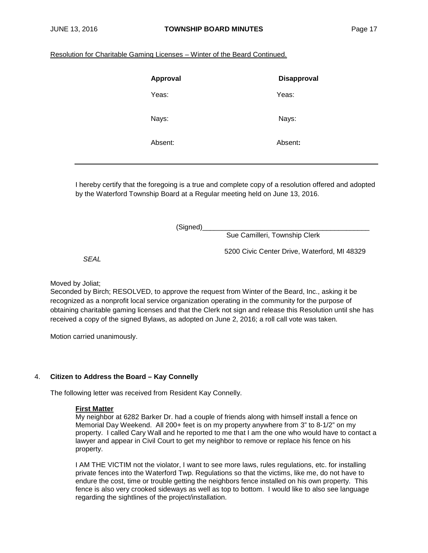## Resolution for Charitable Gaming Licenses – Winter of the Beard Continued.

| Approval | <b>Disapproval</b> |
|----------|--------------------|
| Yeas:    | Yeas:              |
| Nays:    | Nays:              |
| Absent:  | Absent:            |

I hereby certify that the foregoing is a true and complete copy of a resolution offered and adopted by the Waterford Township Board at a Regular meeting held on June 13, 2016.

(Signed)\_\_\_\_\_\_\_\_\_\_\_\_\_\_\_\_\_\_\_\_\_\_\_\_\_\_\_\_\_\_\_\_\_\_\_\_\_\_\_\_\_\_\_

Sue Camilleri, Township Clerk

5200 Civic Center Drive, Waterford, MI 48329

*SEAL*

Moved by Joliat;

Seconded by Birch; RESOLVED, to approve the request from Winter of the Beard, Inc., asking it be recognized as a nonprofit local service organization operating in the community for the purpose of obtaining charitable gaming licenses and that the Clerk not sign and release this Resolution until she has received a copy of the signed Bylaws, as adopted on June 2, 2016; a roll call vote was taken.

Motion carried unanimously.

## 4. **Citizen to Address the Board – Kay Connelly**

The following letter was received from Resident Kay Connelly.

## **First Matter**

My neighbor at 6282 Barker Dr. had a couple of friends along with himself install a fence on Memorial Day Weekend. All 200+ feet is on my property anywhere from 3" to 8-1/2" on my property. I called Cary Wall and he reported to me that I am the one who would have to contact a lawyer and appear in Civil Court to get my neighbor to remove or replace his fence on his property.

I AM THE VICTIM not the violator, I want to see more laws, rules regulations, etc. for installing private fences into the Waterford Twp. Regulations so that the victims, like me, do not have to endure the cost, time or trouble getting the neighbors fence installed on his own property. This fence is also very crooked sideways as well as top to bottom. I would like to also see language regarding the sightlines of the project/installation.